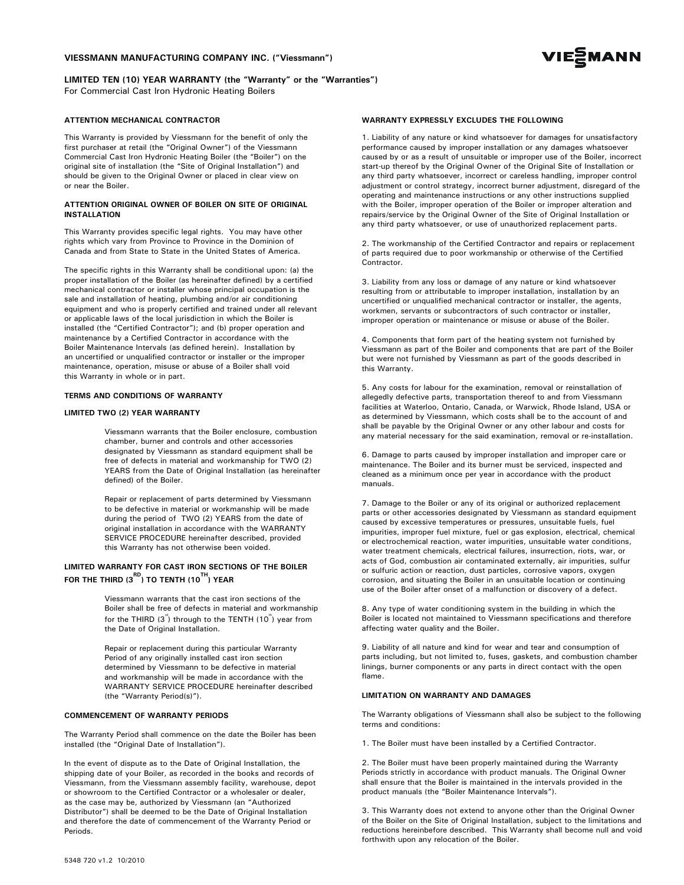## VIESSMANN MANUFACTURING COMPANY INC. ("Viessmann")



# LIMITED TEN (10) YEAR WARRANTY (the "Warranty" or the "Warranties")

For Commercial Cast Iron Hydronic Heating Boilers

#### ATTENTION MECHANICAL CONTRACTOR

This Warranty is provided by Viessmann for the benefit of only the first purchaser at retail (the "Original Owner") of the Viessmann Commercial Cast Iron Hydronic Heating Boiler (the "Boiler") on the original site of installation (the "Site of Original Installation") and should be given to the Original Owner or placed in clear view on or near the Boiler.

#### ATTENTION ORIGINAL OWNER OF BOILER ON SITE OF ORIGINAL INSTALLATION

This Warranty provides specific legal rights. You may have other rights which vary from Province to Province in the Dominion of Canada and from State to State in the United States of America.

The specific rights in this Warranty shall be conditional upon: (a) the proper installation of the Boiler (as hereinafter defined) by a certified mechanical contractor or installer whose principal occupation is the sale and installation of heating, plumbing and/or air conditioning equipment and who is properly certified and trained under all relevant or applicable laws of the local jurisdiction in which the Boiler is installed (the "Certified Contractor"); and (b) proper operation and maintenance by a Certified Contractor in accordance with the Boiler Maintenance Intervals (as defined herein). Installation by an uncertified or unqualified contractor or installer or the improper maintenance, operation, misuse or abuse of a Boiler shall void this Warranty in whole or in part.

## TERMS AND CONDITIONS OF WARRANTY

## LIMITED TWO (2) YEAR WARRANTY

Viessmann warrants that the Boiler enclosure, combustion chamber, burner and controls and other accessories designated by Viessmann as standard equipment shall be free of defects in material and workmanship for TWO (2) YEARS from the Date of Original Installation (as hereinafter defined) of the Boiler.

Repair or replacement of parts determined by Viessmann to be defective in material or workmanship will be made during the period of TWO (2) YEARS from the date of original installation in accordance with the WARRANTY SERVICE PROCEDURE hereinafter described, provided this Warranty has not otherwise been voided.

## LIMITED WARRANTY FOR CAST IRON SECTIONS OF THE BOILER FOR THE THIRD (3 $^{\text{RD}}$ ) to tenth (10 $^{\text{TH}}$ ) year

Viessmann warrants that the cast iron sections of the Boiler shall be free of defects in material and workmanship for the THIRD (3<sup>"</sup>) through to the TENTH (10<sup>"</sup>) year from the Date of Original Installation.

Repair or replacement during this particular Warranty Period of any originally installed cast iron section determined by Viessmann to be defective in material and workmanship will be made in accordance with the WARRANTY SERVICE PROCEDURE hereinafter described (the "Warranty Period(s)").

## COMMENCEMENT OF WARRANTY PERIODS

The Warranty Period shall commence on the date the Boiler has been installed (the "Original Date of Installation").

In the event of dispute as to the Date of Original Installation, the shipping date of your Boiler, as recorded in the books and records of Viessmann, from the Viessmann assembly facility, warehouse, depot or showroom to the Certified Contractor or a wholesaler or dealer, as the case may be, authorized by Viessmann (an "Authorized Distributor") shall be deemed to be the Date of Original Installation and therefore the date of commencement of the Warranty Period or Periods.

#### WARRANTY EXPRESSLY EXCLUDES THE FOLLOWING

1. Liability of any nature or kind whatsoever for damages for unsatisfactory performance caused by improper installation or any damages whatsoever caused by or as a result of unsuitable or improper use of the Boiler, incorrect start-up thereof by the Original Owner of the Original Site of Installation or any third party whatsoever, incorrect or careless handling, improper control adjustment or control strategy, incorrect burner adjustment, disregard of the operating and maintenance instructions or any other instructions supplied with the Boiler, improper operation of the Boiler or improper alteration and repairs/service by the Original Owner of the Site of Original Installation or any third party whatsoever, or use of unauthorized replacement parts.

2. The workmanship of the Certified Contractor and repairs or replacement of parts required due to poor workmanship or otherwise of the Certified Contractor.

3. Liability from any loss or damage of any nature or kind whatsoever resulting from or attributable to improper installation, installation by an uncertified or unqualified mechanical contractor or installer, the agents, workmen, servants or subcontractors of such contractor or installer, improper operation or maintenance or misuse or abuse of the Boiler.

4. Components that form part of the heating system not furnished by Viessmann as part of the Boiler and components that are part of the Boiler but were not furnished by Viessmann as part of the goods described in this Warranty.

5. Any costs for labour for the examination, removal or reinstallation of allegedly defective parts, transportation thereof to and from Viessmann facilities at Waterloo, Ontario, Canada, or Warwick, Rhode Island, USA or as determined by Viessmann, which costs shall be to the account of and shall be payable by the Original Owner or any other labour and costs for any material necessary for the said examination, removal or re-installation.

6. Damage to parts caused by improper installation and improper care or maintenance. The Boiler and its burner must be serviced, inspected and cleaned as a minimum once per year in accordance with the product manuals.

7. Damage to the Boiler or any of its original or authorized replacement parts or other accessories designated by Viessmann as standard equipment caused by excessive temperatures or pressures, unsuitable fuels, fuel impurities, improper fuel mixture, fuel or gas explosion, electrical, chemical or electrochemical reaction, water impurities, unsuitable water conditions, water treatment chemicals, electrical failures, insurrection, riots, war, or acts of God, combustion air contaminated externally, air impurities, sulfur or sulfuric action or reaction, dust particles, corrosive vapors, oxygen corrosion, and situating the Boiler in an unsuitable location or continuing use of the Boiler after onset of a malfunction or discovery of a defect.

8. Any type of water conditioning system in the building in which the Boiler is located not maintained to Viessmann specifications and therefore affecting water quality and the Boiler.

9. Liability of all nature and kind for wear and tear and consumption of parts including, but not limited to, fuses, gaskets, and combustion chamber linings, burner components or any parts in direct contact with the open flame.

## LIMITATION ON WARRANTY AND DAMAGES

The Warranty obligations of Viessmann shall also be subject to the following terms and conditions:

1. The Boiler must have been installed by a Certified Contractor.

2. The Boiler must have been properly maintained during the Warranty Periods strictly in accordance with product manuals. The Original Owner shall ensure that the Boiler is maintained in the intervals provided in the product manuals (the "Boiler Maintenance Intervals").

3. This Warranty does not extend to anyone other than the Original Owner of the Boiler on the Site of Original Installation, subject to the limitations and reductions hereinbefore described. This Warranty shall become null and void forthwith upon any relocation of the Boiler.